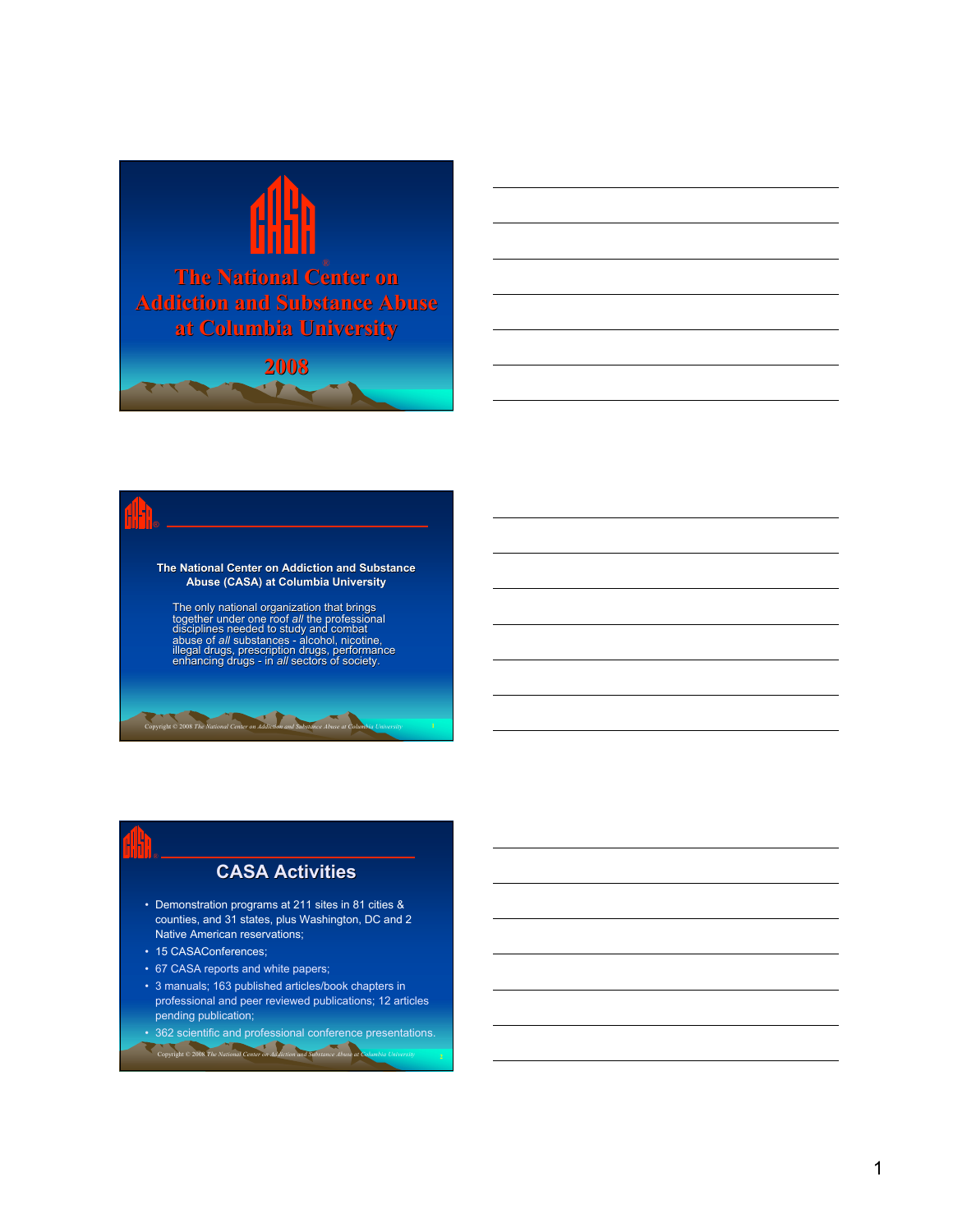



# **The National Center on Addiction and Substance Abuse (CASA) at Columbia University**

The only national organization that brings together under one roof *all* the professional dišciplines needed to study and combat<br>abuse of *all* substances - alcohol, nicotine,<br>illegal drugs, prescription drugs, performance<br>enhancing drugs - in *all* sectors of society.

Copyright © 2008 *The National Center on Addiction and Substance Abuse at Columbia University* **1**

### **CASA Activities**

- Demonstration programs at 211 sites in 81 cities & counties, and 31 states, plus Washington, DC and 2 Native American reservations;
- 15 CASAConferences;
- 67 CASA reports and white papers;
- 3 manuals; 163 published articles/book chapters in professional and peer reviewed publications; 12 articles pending publication;
- 362 scientific and professional conference presentations. Copyright © 2008 *The National Center on Addiction and Substance Abuse at Columbia University* **2**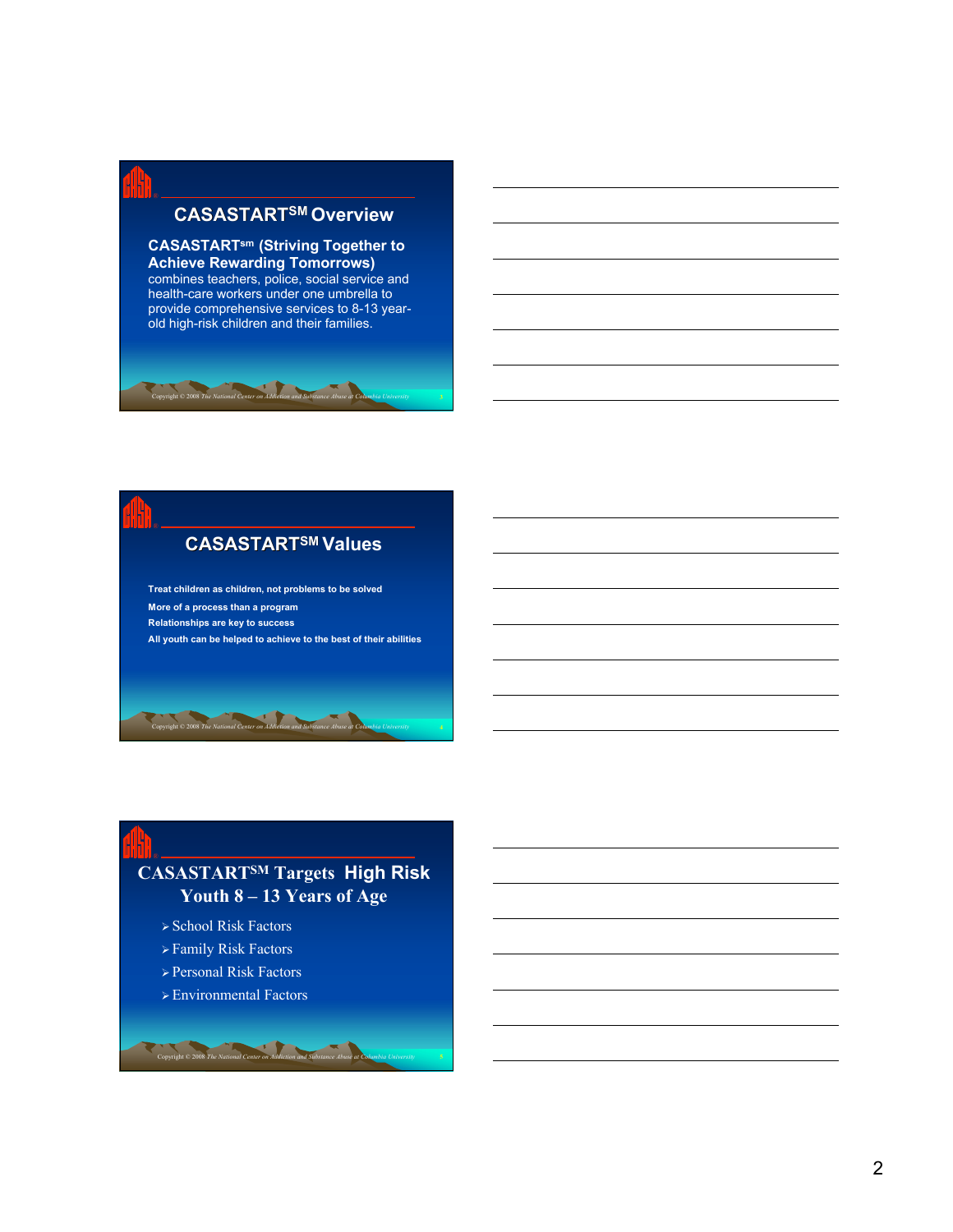### **CASASTARTSM Overview**

### **CASASTARTsm (Striving Together to Achieve Rewarding Tomorrows)**

combines teachers, police, social service and health-care workers under one umbrella to provide comprehensive services to 8-13 yearold high-risk children and their families.

Copyright © 2008 *The National Center on Addiction and Substance Abuse at Columbia University* **3**

### **CASASTARTSM Values**

**Treat children as children, not problems to be solved More of a process than a program Relationships are key to success All youth can be helped to achieve to the best of their abilities**

Copyright © 2008 *The National Center on Addiction and Substance Abuse at Columbia University* **4**

### **CASASTARTSM Targets High Risk Youth 8 – 13 Years of Age**

- School Risk Factors
- $\triangleright$  Family Risk Factors
- Personal Risk Factors
- Environmental Factors

**Copyright © 2008** *The National Center on Addiction and Substance Abuse*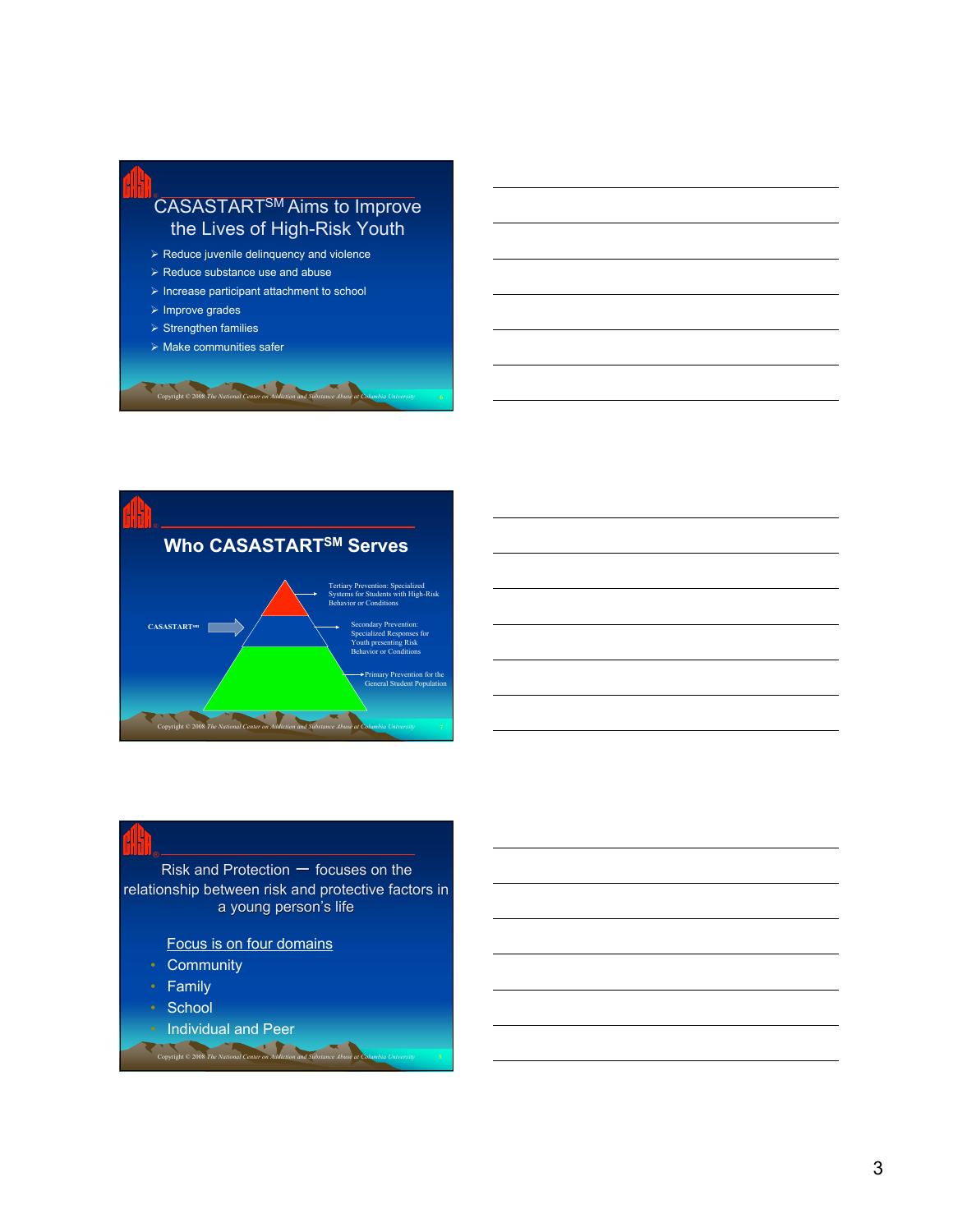



### Risk and Protection  $-$  focuses on the relationship between risk and protective factors in a young person's life

Focus is on four domains

- Community
- Family
- School
- Individual and Peer *Copyright* © 2008 *The National Center on Addictional*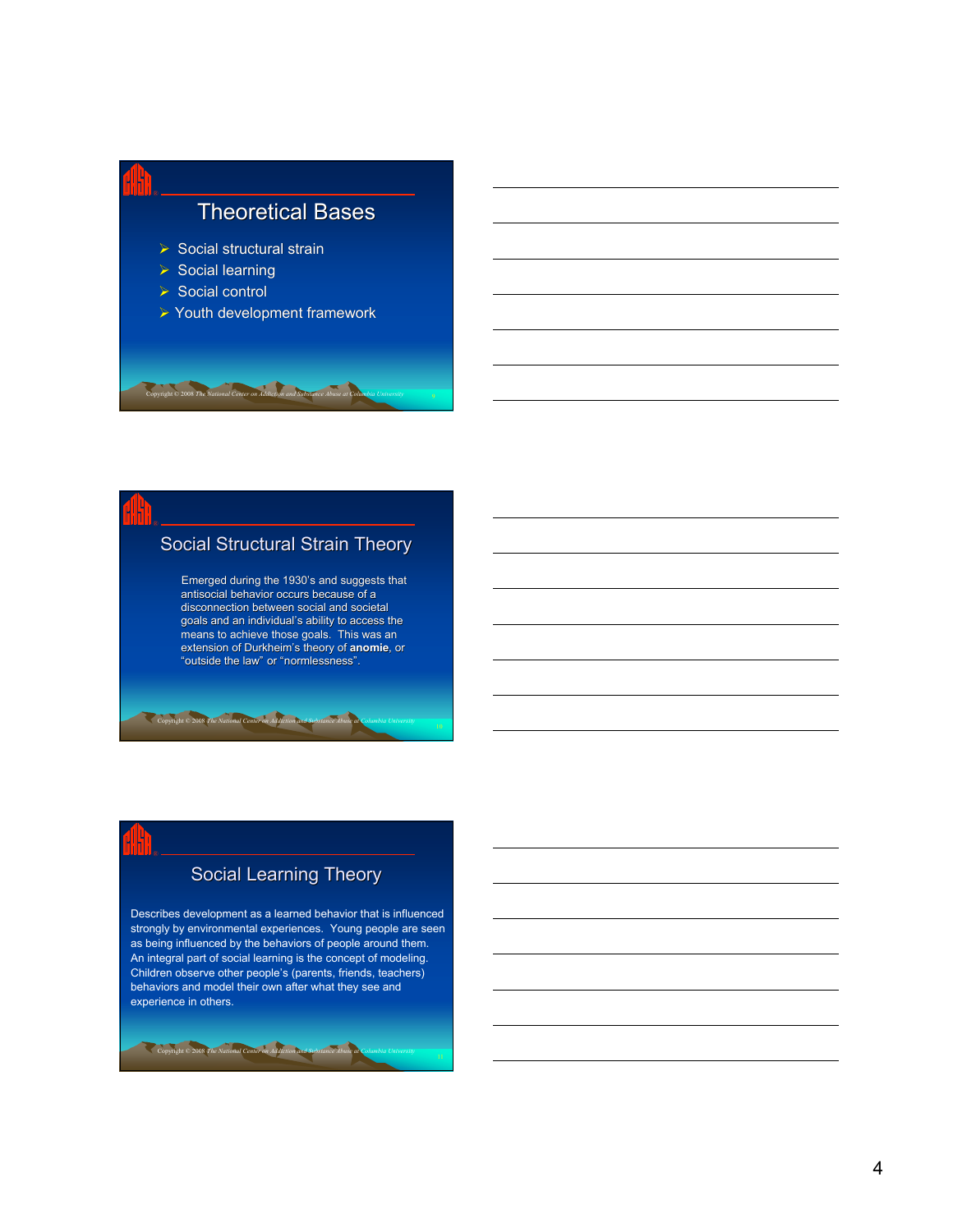

### Social Structural Strain Theory

Emerged during the 1930's and suggests that antisocial behavior occurs because of a disconnection between social and societal goals and an individual's ability to access the means to achieve those goals. This was an extension of Durkheim's theory of **anomie**, or "outside the law" or "normlessness".

Copyright © 2008 *The National Center on Addiction and Substance Abuse at Columbia University*

### Social Learning Theory

Describes development as a learned behavior that is influenced strongly by environmental experiences. Young people are seen as being influenced by the behaviors of people around them. An integral part of social learning is the concept of modeling. Children observe other people's (parents, friends, teachers) behaviors and model their own after what they see and experience in others.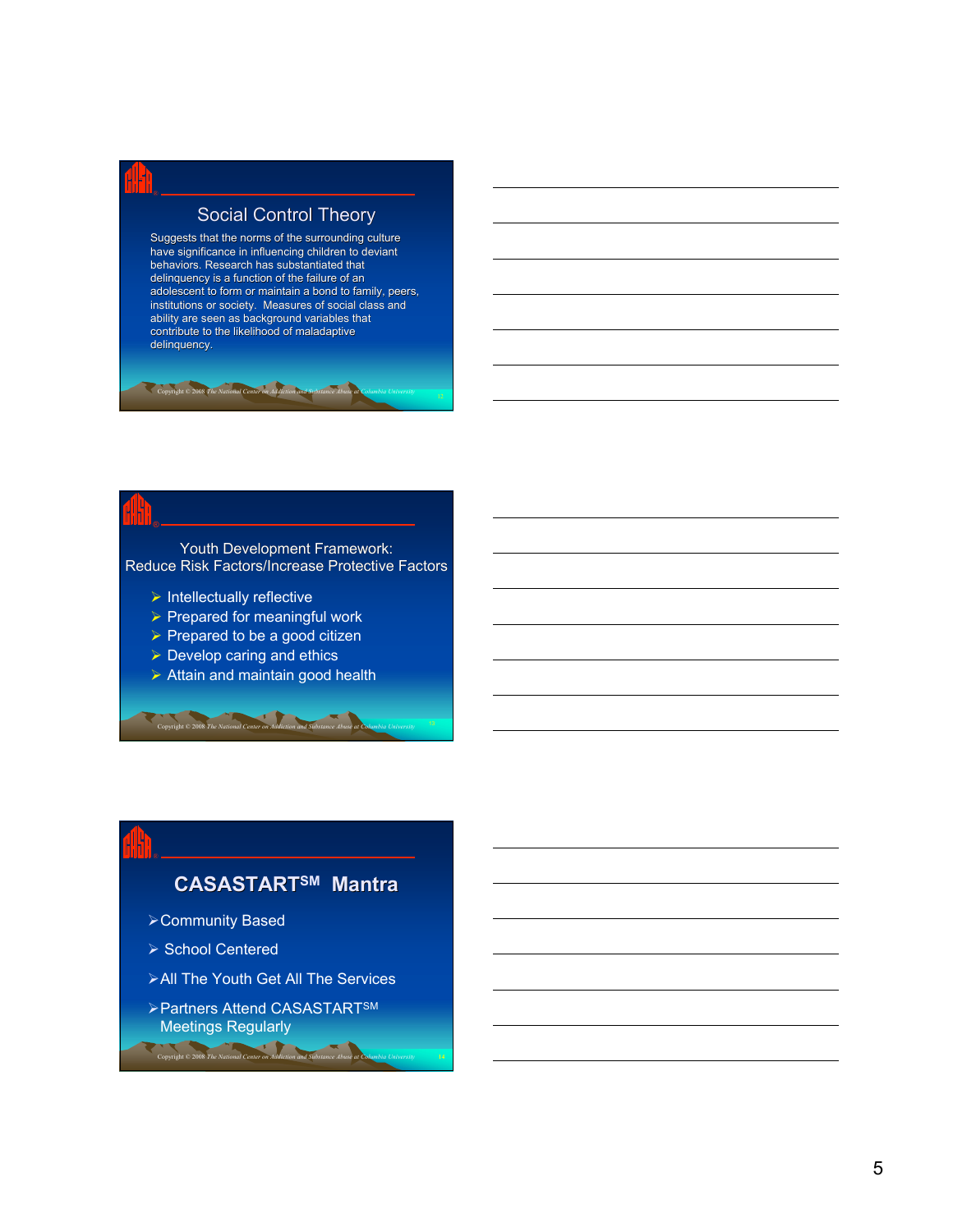### Social Control Theory

Suggests that the norms of the surrounding culture have significance in influencing children to deviant behaviors. Research has substantiated that delinquency is a function of the failure of an adolescent to form or maintain a bond to family, peers, institutions or society. Measures of social class and ability are seen as background variables that contribute to the likelihood of maladaptive delinquency.

Copyright © 2008 *The National Center on Addiction and Substance Abuse at Columbia University*

Youth Development Framework: Reduce Risk Factors/Increase Protective Factors

- $\triangleright$  Intellectually reflective
- $\triangleright$  Prepared for meaningful work
- $\triangleright$  Prepared to be a good citizen
- $\triangleright$  Develop caring and ethics
- $\triangleright$  Attain and maintain good health

Copyright © 2008 *The National Center on Addiction and Substance Abuse at Columbia University*

### **CASASTARTSM Mantra**

- Community Based
- ▶ School Centered

- **≻All The Youth Get All The Services**
- Partners Attend CASASTARTSM Meetings Regularly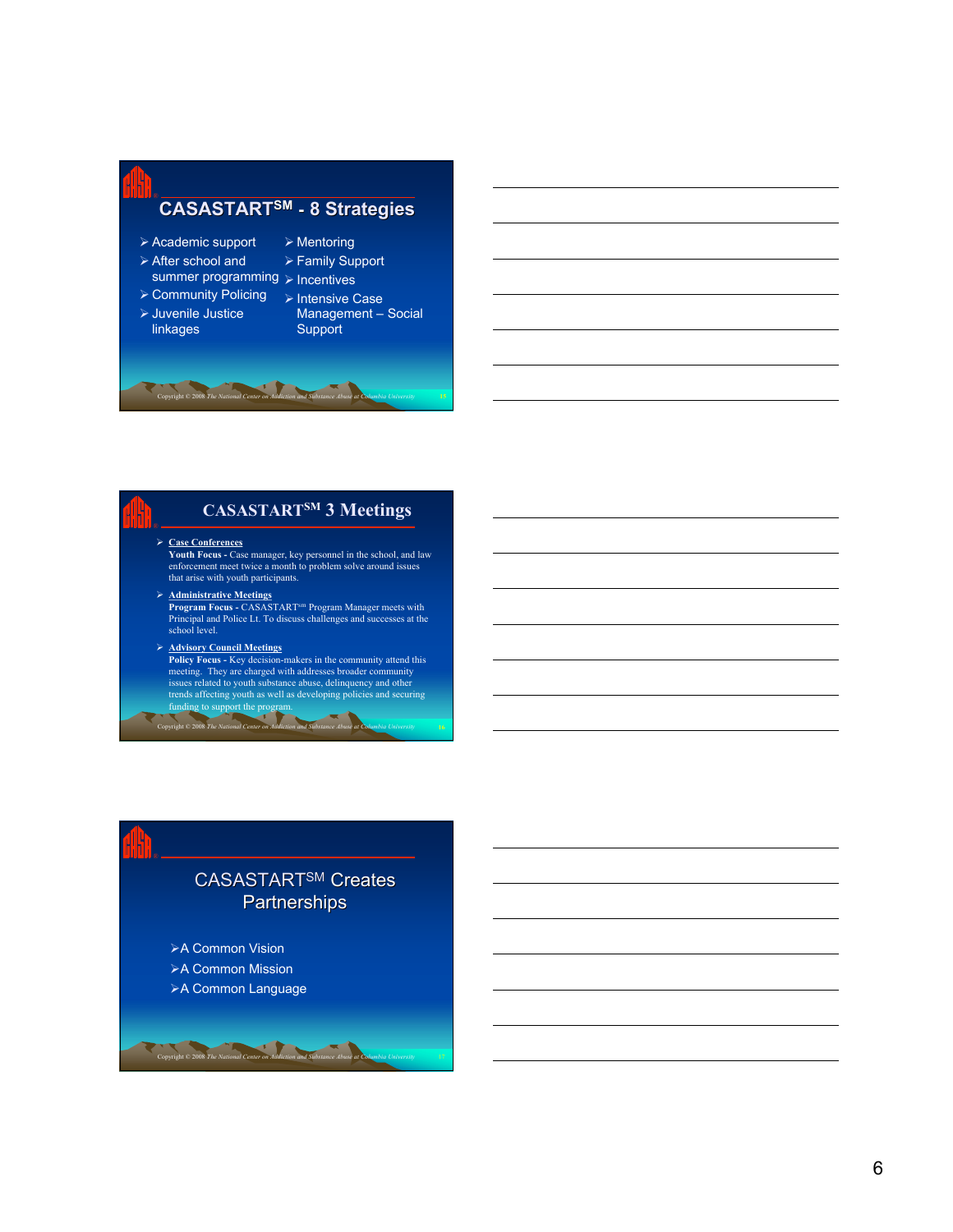## **CASASTARTSM - 8 Strategies** ®

- Academic support After school and
- $\triangleright$  Mentoring Family Support
- summer programming > Incentives

Copyright © 2008 *The National Center on Addiction and Substance Abuse at Columbia University* **15**

- 
- > Community Policing > Intensive Case
- Juvenile Justice linkages
- Management Social
- **Support**

### **CASASTARTSM 3 Meetings**

### **Case Conferences**

**Youth Focus -** Case manager, key personnel in the school, and law enforcement meet twice a month to problem solve around issues that arise with youth participants.

**Administrative Meetings**<br> **Program Focus •** CASASTART<sup>sm</sup> Program Manager meets with<br>
Principal and Police Lt. To discuss challenges and successes at the<br>
school level.

# A **Advisory Council Meetings**<br> **Policy Focus - Key decision-makers in the community attend this<br>
meeting. They are charged with addresses broader community<br>
issues related to youth substance abuse, delinquency and other<br>**

Copyright © 2008 *The National Center on Addiction and Substance Abuse at Columbia University* **16**

# CASASTARTSM Creates **Partnerships**

**≻A Common Vision ≻A Common Mission** 

**≻A Common Language** 

**Copyright © 2008** *The National Center* on *Addiction* and *Substance Abuse* at **C**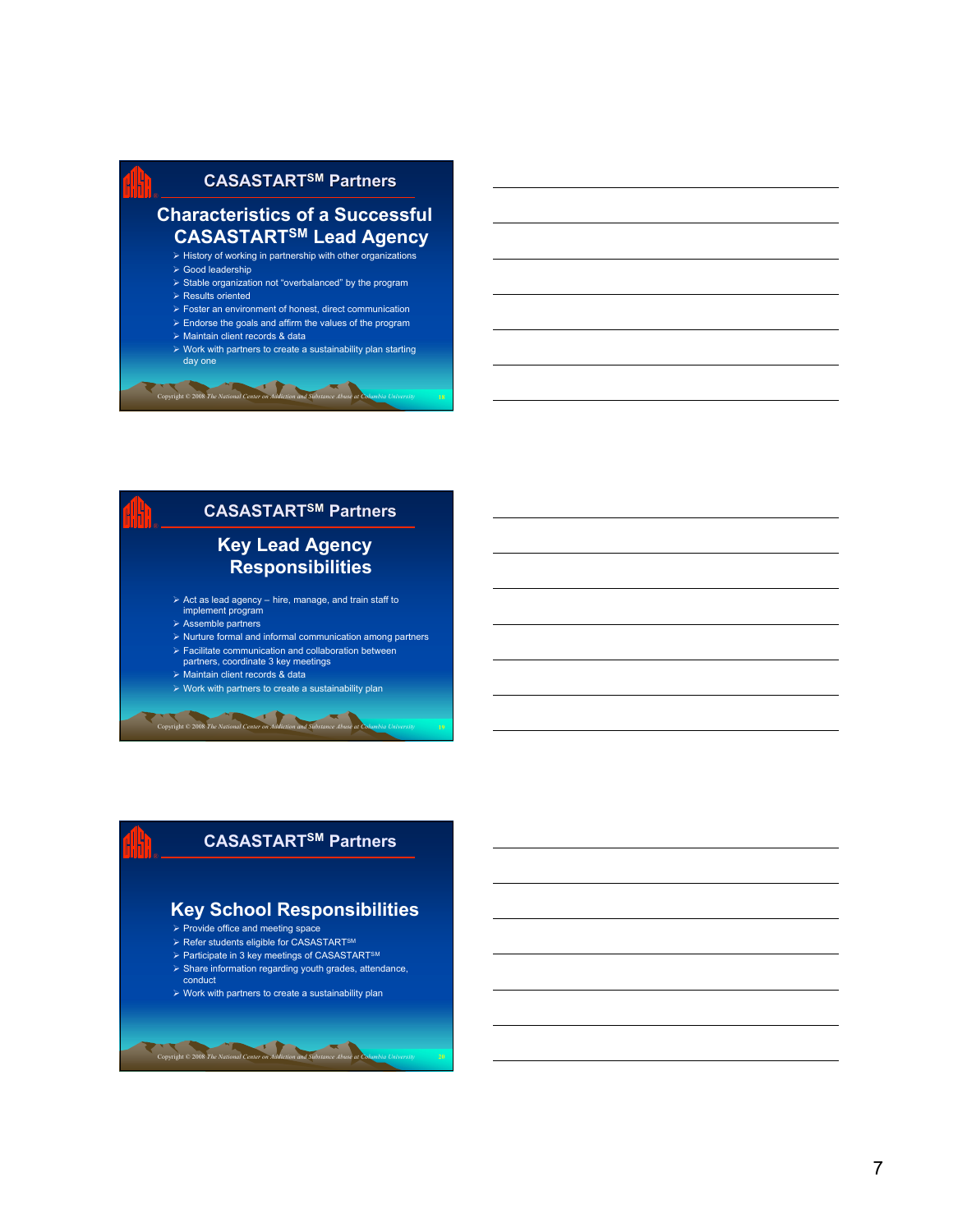

 $\triangleright$  Work with partners to create a sustainability plan starting day one



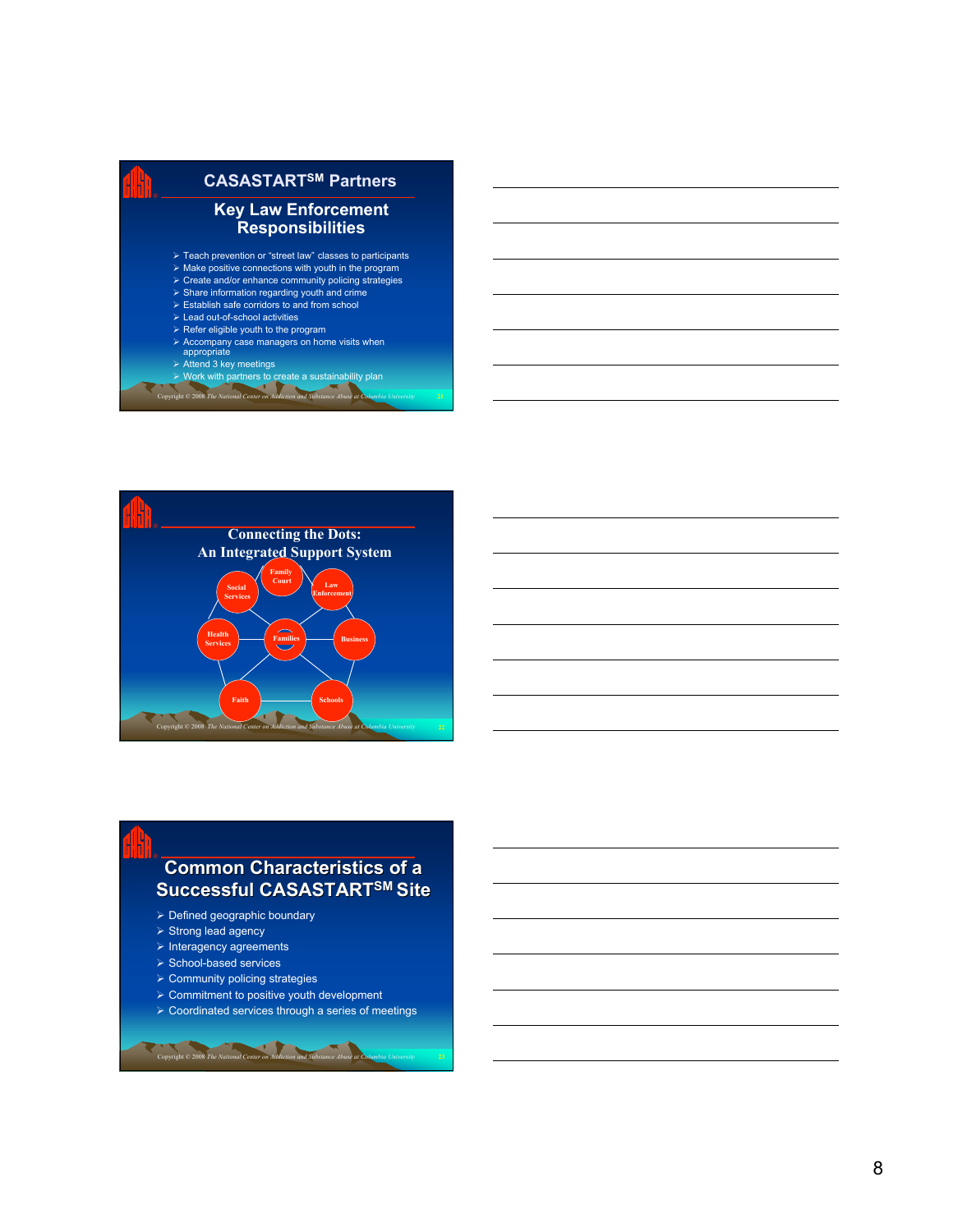| <b>CASASTART<sup>SM</sup> Partners</b>                                                                                                                                                                                                                                                                                                                    |
|-----------------------------------------------------------------------------------------------------------------------------------------------------------------------------------------------------------------------------------------------------------------------------------------------------------------------------------------------------------|
| <b>Key Law Enforcement</b><br><b>Responsibilities</b>                                                                                                                                                                                                                                                                                                     |
| $\triangleright$ Teach prevention or "street law" classes to participants<br>$\triangleright$ Make positive connections with youth in the program<br>$\triangleright$ Create and/or enhance community policing strategies<br>$\triangleright$ Share information regarding youth and crime<br>$\triangleright$ Establish safe corridors to and from school |
| $\triangleright$ Lead out-of-school activities<br>$\triangleright$ Refer eligible youth to the program<br>$\triangleright$ Accompany case managers on home visits when<br>appropriate                                                                                                                                                                     |
| $\triangleright$ Attend 3 key meetings<br>$\triangleright$ Work with partners to create a sustainability plan                                                                                                                                                                                                                                             |

*Copyright* © 2008 *The National Center on Addiction and Substance Abuse at* 



### **Common Characteristics of a Successful CASASTARTSM Site**

- $\triangleright$  Defined geographic boundary
- $\triangleright$  Strong lead agency
- $\triangleright$  Interagency agreements
- $\triangleright$  School-based services

*Copyright* © 2008 *The National Center on Addiction* 

- $\triangleright$  Community policing strategies
- $\triangleright$  Commitment to positive youth development
- Coordinated services through a series of meetings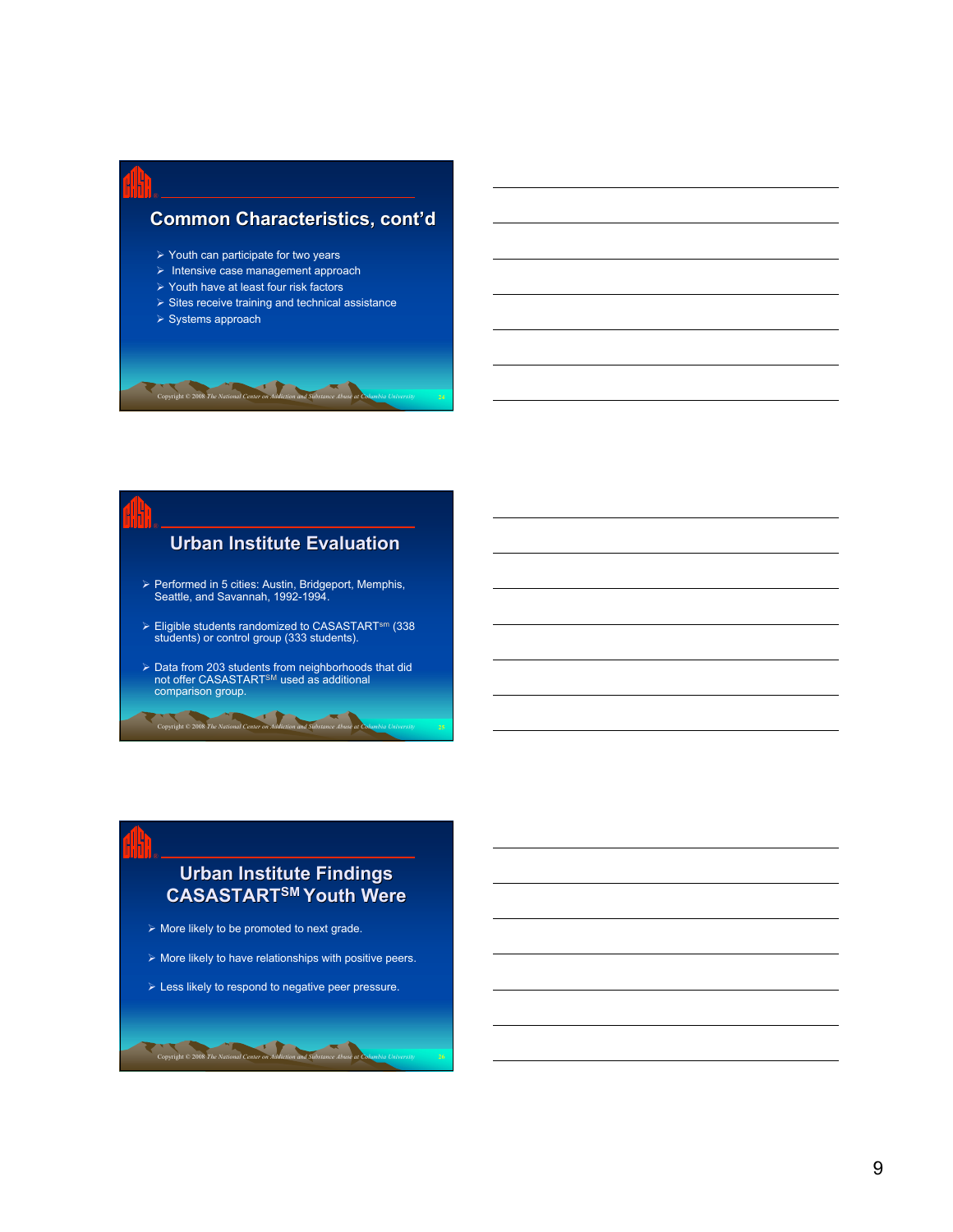### **Common Characteristics, cont'd**

- $\triangleright$  Youth can participate for two years
- $\triangleright$  Intensive case management approach
- Youth have at least four risk factors
- $\triangleright$  Sites receive training and technical assistance
- $\triangleright$  Systems approach

Copyright © 2008 *The National Center on Addiction and Substance Abuse at Columbia University*

### **Urban Institute Evaluation**

- Performed in 5 cities: Austin, Bridgeport, Memphis, Seattle, and Savannah, 1992-1994.
- Eligible students randomized to CASASTARTsm (338 students) or control group (333 students).
- > Data from 203 students from neighborhoods that did<br>not offer CASASTART<sup>SM</sup> used as additional<br>comparison group.

Copyright © 2008 *The National Center on Addiction and Substance Abuse at Columbia University* **25**

### **Urban Institute Findings CASASTARTSM Youth Were**

 $\triangleright$  More likely to be promoted to next grade.

- $\triangleright$  More likely to have relationships with positive peers.
- $\triangleright$  Less likely to respond to negative peer pressure.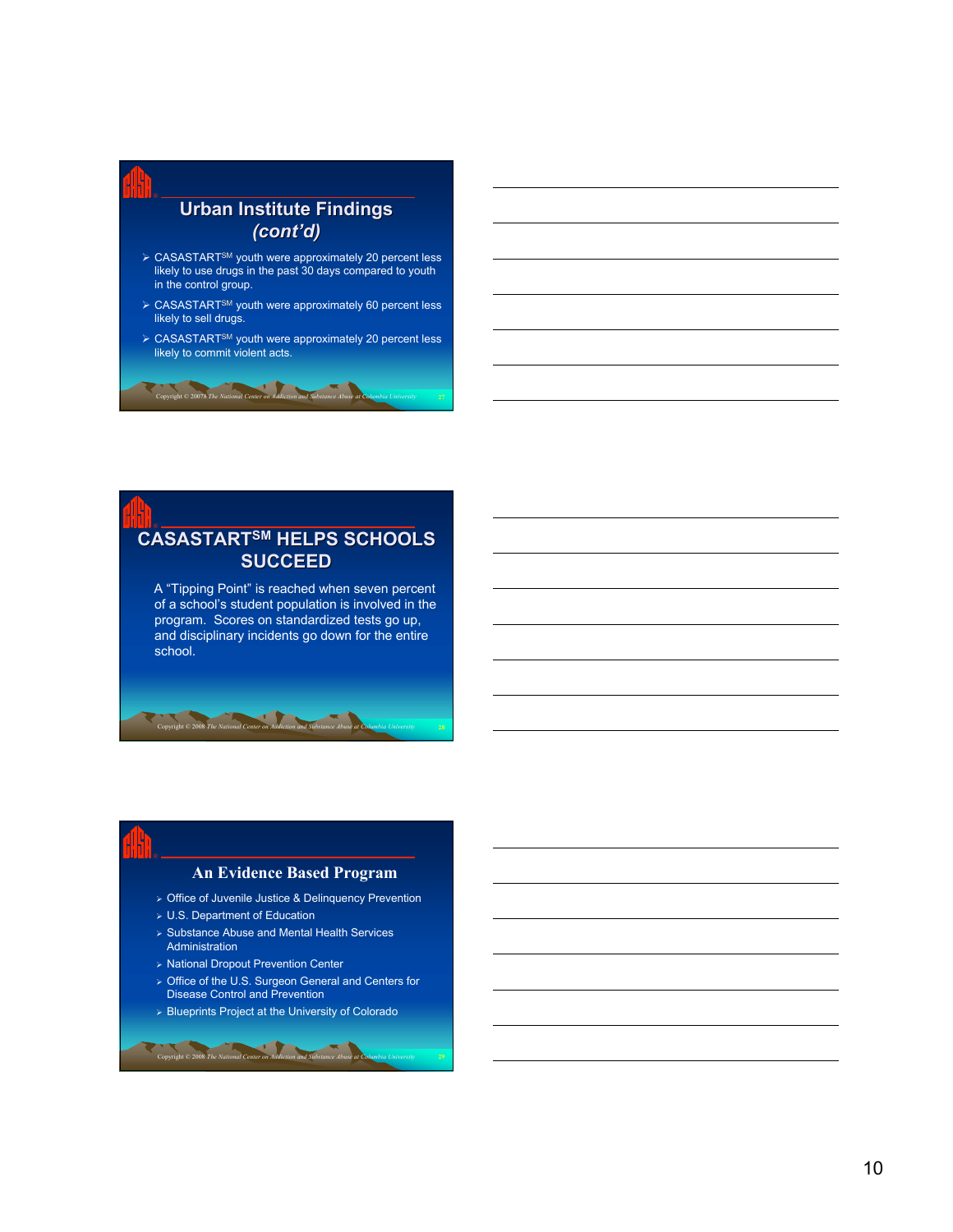### **Urban Institute Findings** *(cont'd)* ▶ CASASTART<sup>SM</sup> youth were approximately 20 percent less likely to use drugs in the past 30 days compared to youth in the control group. ▶ CASASTART<sup>SM</sup> youth were approximately 60 percent less likely to sell drugs. ▶ CASASTART<sup>SM</sup> youth were approximately 20 percent less likely to commit violent acts.

 $\mathbf{F}$ 

Copyright © 20078 *The National Center on Addiction and Substance Abuse at Columbia University* **27**

### **CASASTARTSM HELPS SCHOOLS** ® **SUCCEED**

A "Tipping Point" is reached when seven percent of a school's student population is involved in the program. Scores on standardized tests go up, and disciplinary incidents go down for the entire school.

### **An Evidence Based Program**

Office of Juvenile Justice & Delinquency Prevention

U.S. Department of Education

Copyright © 2008 *The National Center on Addiction and Substance Abuse at Columbia University* **28**

- $\triangleright$  Substance Abuse and Mental Health Services Administration
- National Dropout Prevention Center

- > Office of the U.S. Surgeon General and Centers for Disease Control and Prevention
- $\triangleright$  Blueprints Project at the University of Colorado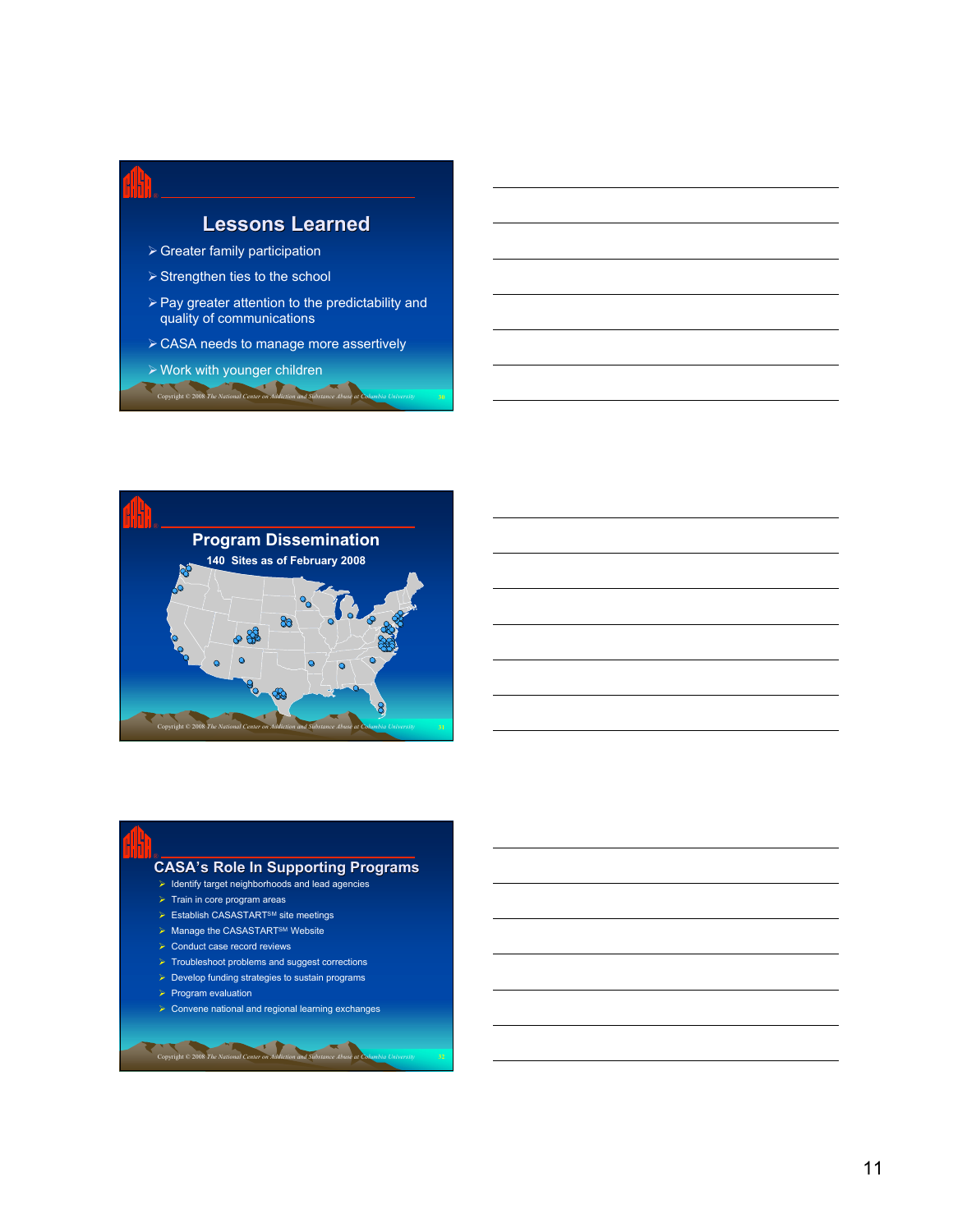### **Lessons Learned**

- Greater family participation
- $\triangleright$  Strengthen ties to the school
- $\triangleright$  Pay greater attention to the predictability and quality of communications
- **► CASA needs to manage more assertively**
- Work with younger children Copyright © 2008 *The National Center on Addiction and Substance Abuse at Columbia University* **30**



### **CASA's Role In Supporting Programs** ®

- $\triangleright$  Identify target neighborhoods and lead agencies
- $\triangleright$  Train in core program areas
- Establish CASASTARTSM site meetings
- $\triangleright$  Manage the CASASTART<sup>SM</sup> Website
- $\triangleright$  Conduct case record reviews

- $\triangleright$  Troubleshoot problems and suggest corrections
- $\triangleright$  Develop funding strategies to sustain programs
- $\triangleright$  Program evaluation
- $\triangleright$  Convene national and regional learning exchanges